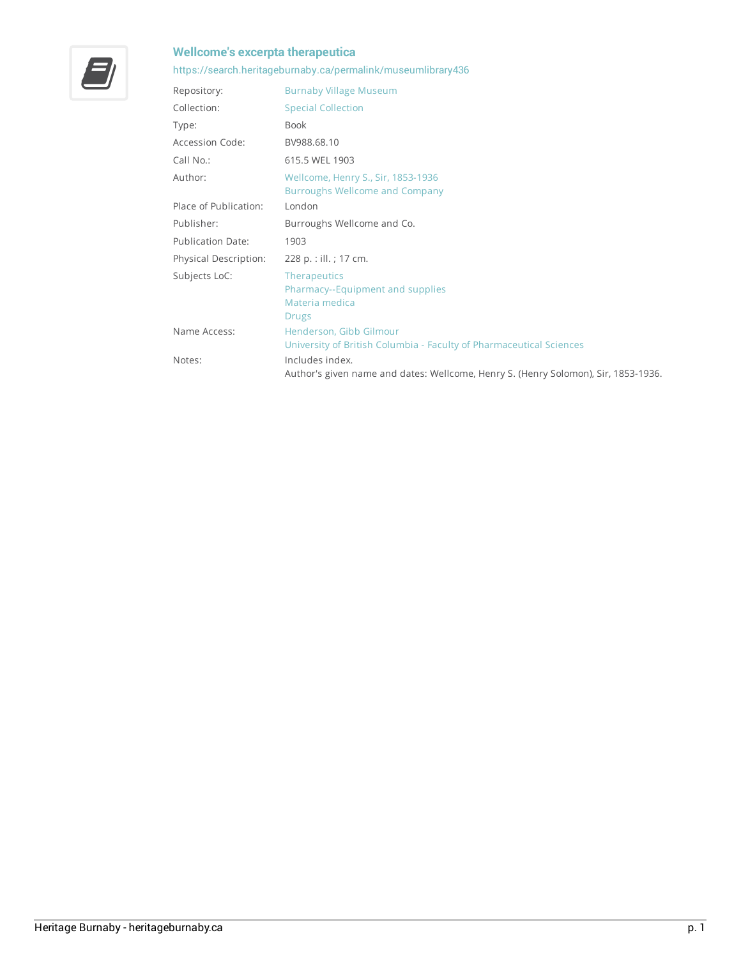## **Wellcome'sexcerpta therapeutica**



## <https://search.heritageburnaby.ca/permalink/museumlibrary436>

| Repository:              | <b>Burnaby Village Museum</b>                                                                         |
|--------------------------|-------------------------------------------------------------------------------------------------------|
| Collection:              | <b>Special Collection</b>                                                                             |
| Type:                    | <b>Book</b>                                                                                           |
| Accession Code:          | BV988.68.10                                                                                           |
| Call No.:                | 615.5 WEL 1903                                                                                        |
| Author:                  | Wellcome, Henry S., Sir, 1853-1936<br><b>Burroughs Wellcome and Company</b>                           |
| Place of Publication:    | London                                                                                                |
| Publisher:               | Burroughs Wellcome and Co.                                                                            |
| <b>Publication Date:</b> | 1903                                                                                                  |
| Physical Description:    | 228 p. : ill. ; 17 cm.                                                                                |
| Subjects LoC:            | <b>Therapeutics</b><br>Pharmacy--Equipment and supplies<br>Materia medica<br><b>Drugs</b>             |
| Name Access:             | Henderson, Gibb Gilmour<br>University of British Columbia - Faculty of Pharmaceutical Sciences        |
| Notes:                   | Includes index.<br>Author's given name and dates: Wellcome, Henry S. (Henry Solomon), Sir, 1853-1936. |